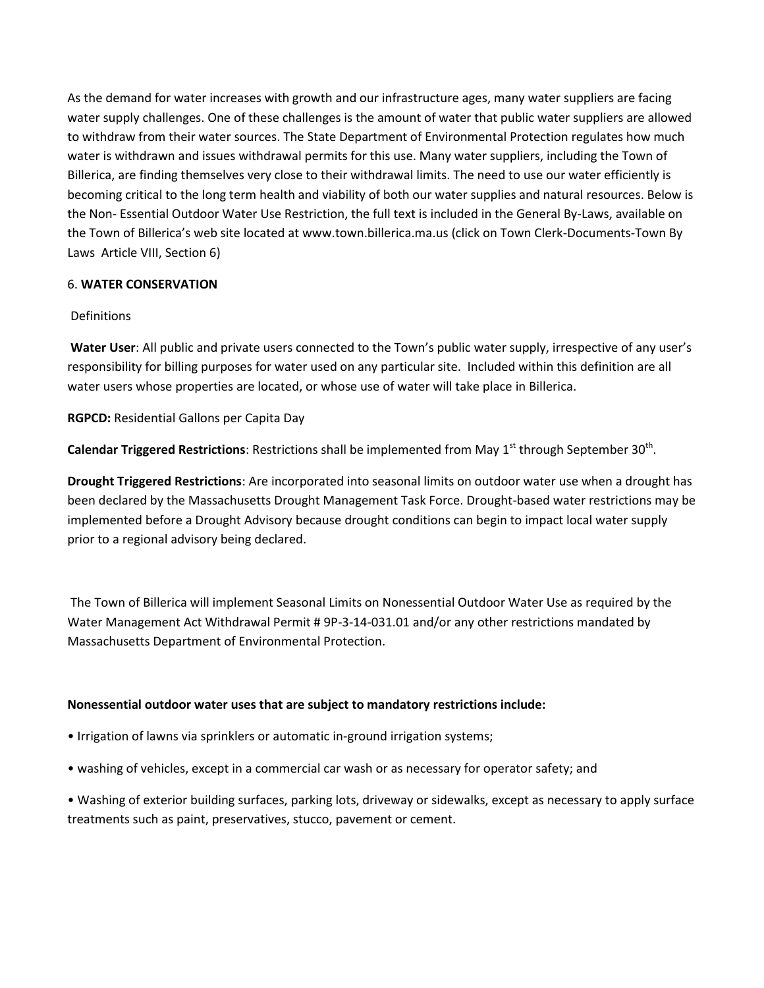As the demand for water increases with growth and our infrastructure ages, many water suppliers are facing water supply challenges. One of these challenges is the amount of water that public water suppliers are allowed to withdraw from their water sources. The State Department of Environmental Protection regulates how much water is withdrawn and issues withdrawal permits for this use. Many water suppliers, including the Town of Billerica, are finding themselves very close to their withdrawal limits. The need to use our water efficiently is becoming critical to the long term health and viability of both our water supplies and natural resources. Below is the Non- Essential Outdoor Water Use Restriction, the full text is included in the General By-Laws, available on the Town of Billerica's web site located at www.town.billerica.ma.us (click on Town Clerk-Documents-Town By Laws Article VIII, Section 6)

# 6. **WATER CONSERVATION**

# Definitions

**Water User**: All public and private users connected to the Town's public water supply, irrespective of any user's responsibility for billing purposes for water used on any particular site. Included within this definition are all water users whose properties are located, or whose use of water will take place in Billerica.

**RGPCD:** Residential Gallons per Capita Day

**Calendar Triggered Restrictions**: Restrictions shall be implemented from May 1<sup>st</sup> through September 30<sup>th</sup>.

**Drought Triggered Restrictions**: Are incorporated into seasonal limits on outdoor water use when a drought has been declared by the Massachusetts Drought Management Task Force. Drought-based water restrictions may be implemented before a Drought Advisory because drought conditions can begin to impact local water supply prior to a regional advisory being declared.

The Town of Billerica will implement Seasonal Limits on Nonessential Outdoor Water Use as required by the Water Management Act Withdrawal Permit # 9P-3-14-031.01 and/or any other restrictions mandated by Massachusetts Department of Environmental Protection.

### **Nonessential outdoor water uses that are subject to mandatory restrictions include:**

- Irrigation of lawns via sprinklers or automatic in-ground irrigation systems;
- washing of vehicles, except in a commercial car wash or as necessary for operator safety; and

• Washing of exterior building surfaces, parking lots, driveway or sidewalks, except as necessary to apply surface treatments such as paint, preservatives, stucco, pavement or cement.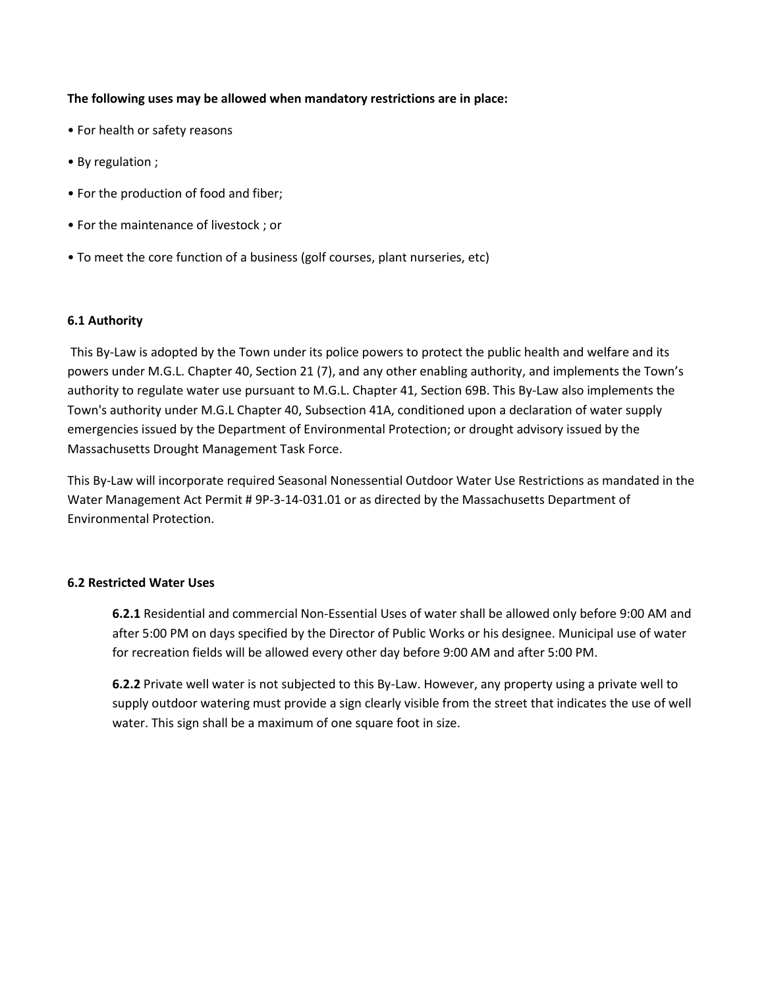### **The following uses may be allowed when mandatory restrictions are in place:**

- For health or safety reasons
- By regulation ;
- For the production of food and fiber;
- For the maintenance of livestock ; or
- To meet the core function of a business (golf courses, plant nurseries, etc)

### **6.1 Authority**

This By-Law is adopted by the Town under its police powers to protect the public health and welfare and its powers under M.G.L. Chapter 40, Section 21 (7), and any other enabling authority, and implements the Town's authority to regulate water use pursuant to M.G.L. Chapter 41, Section 69B. This By-Law also implements the Town's authority under M.G.L Chapter 40, Subsection 41A, conditioned upon a declaration of water supply emergencies issued by the Department of Environmental Protection; or drought advisory issued by the Massachusetts Drought Management Task Force.

This By-Law will incorporate required Seasonal Nonessential Outdoor Water Use Restrictions as mandated in the Water Management Act Permit # 9P-3-14-031.01 or as directed by the Massachusetts Department of Environmental Protection.

### **6.2 Restricted Water Uses**

**6.2.1** Residential and commercial Non-Essential Uses of water shall be allowed only before 9:00 AM and after 5:00 PM on days specified by the Director of Public Works or his designee. Municipal use of water for recreation fields will be allowed every other day before 9:00 AM and after 5:00 PM.

**6.2.2** Private well water is not subjected to this By-Law. However, any property using a private well to supply outdoor watering must provide a sign clearly visible from the street that indicates the use of well water. This sign shall be a maximum of one square foot in size.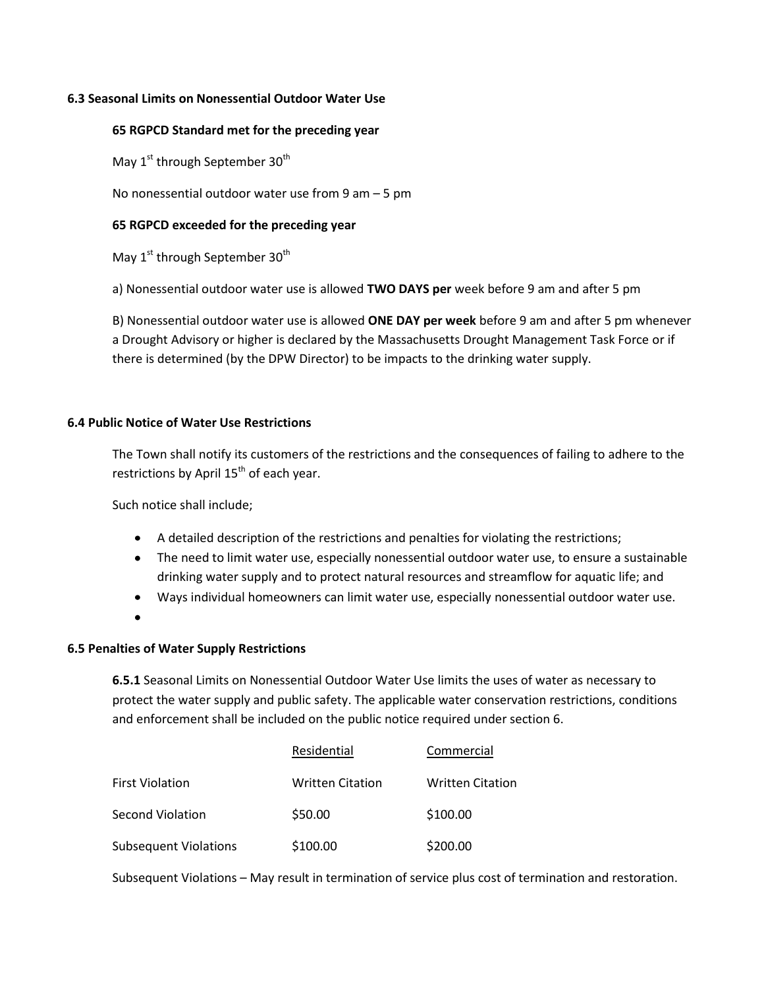## **6.3 Seasonal Limits on Nonessential Outdoor Water Use**

### **65 RGPCD Standard met for the preceding year**

May 1<sup>st</sup> through September 30<sup>th</sup>

No nonessential outdoor water use from 9 am  $-5$  pm

## **65 RGPCD exceeded for the preceding year**

May 1<sup>st</sup> through September 30<sup>th</sup>

a) Nonessential outdoor water use is allowed **TWO DAYS per** week before 9 am and after 5 pm

B) Nonessential outdoor water use is allowed **ONE DAY per week** before 9 am and after 5 pm whenever a Drought Advisory or higher is declared by the Massachusetts Drought Management Task Force or if there is determined (by the DPW Director) to be impacts to the drinking water supply.

### **6.4 Public Notice of Water Use Restrictions**

The Town shall notify its customers of the restrictions and the consequences of failing to adhere to the restrictions by April  $15<sup>th</sup>$  of each year.

Such notice shall include;

- A detailed description of the restrictions and penalties for violating the restrictions;
- The need to limit water use, especially nonessential outdoor water use, to ensure a sustainable drinking water supply and to protect natural resources and streamflow for aquatic life; and
- Ways individual homeowners can limit water use, especially nonessential outdoor water use.
- 

## **6.5 Penalties of Water Supply Restrictions**

**6.5.1** Seasonal Limits on Nonessential Outdoor Water Use limits the uses of water as necessary to protect the water supply and public safety. The applicable water conservation restrictions, conditions and enforcement shall be included on the public notice required under section 6.

|                              | Residential             | Commercial              |
|------------------------------|-------------------------|-------------------------|
| <b>First Violation</b>       | <b>Written Citation</b> | <b>Written Citation</b> |
| Second Violation             | \$50.00                 | \$100.00                |
| <b>Subsequent Violations</b> | \$100.00                | \$200.00                |

Subsequent Violations – May result in termination of service plus cost of termination and restoration.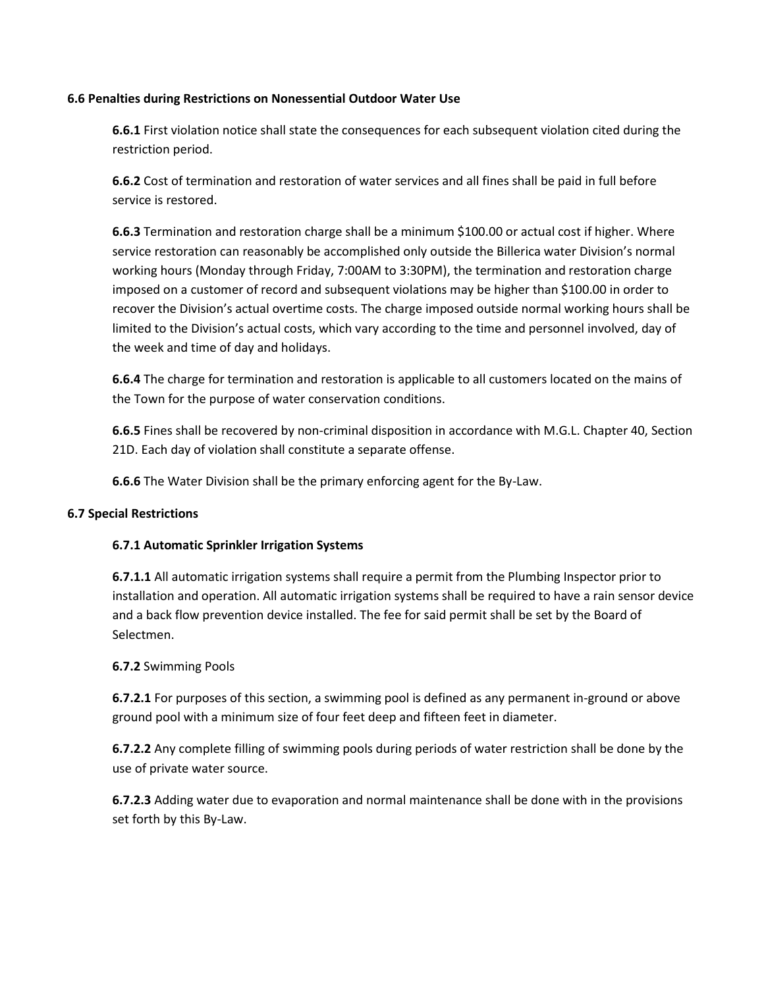### **6.6 Penalties during Restrictions on Nonessential Outdoor Water Use**

**6.6.1** First violation notice shall state the consequences for each subsequent violation cited during the restriction period.

**6.6.2** Cost of termination and restoration of water services and all fines shall be paid in full before service is restored.

**6.6.3** Termination and restoration charge shall be a minimum \$100.00 or actual cost if higher. Where service restoration can reasonably be accomplished only outside the Billerica water Division's normal working hours (Monday through Friday, 7:00AM to 3:30PM), the termination and restoration charge imposed on a customer of record and subsequent violations may be higher than \$100.00 in order to recover the Division's actual overtime costs. The charge imposed outside normal working hours shall be limited to the Division's actual costs, which vary according to the time and personnel involved, day of the week and time of day and holidays.

**6.6.4** The charge for termination and restoration is applicable to all customers located on the mains of the Town for the purpose of water conservation conditions.

**6.6.5** Fines shall be recovered by non-criminal disposition in accordance with M.G.L. Chapter 40, Section 21D. Each day of violation shall constitute a separate offense.

**6.6.6** The Water Division shall be the primary enforcing agent for the By-Law.

### **6.7 Special Restrictions**

### **6.7.1 Automatic Sprinkler Irrigation Systems**

**6.7.1.1** All automatic irrigation systems shall require a permit from the Plumbing Inspector prior to installation and operation. All automatic irrigation systems shall be required to have a rain sensor device and a back flow prevention device installed. The fee for said permit shall be set by the Board of Selectmen.

### **6.7.2** Swimming Pools

**6.7.2.1** For purposes of this section, a swimming pool is defined as any permanent in-ground or above ground pool with a minimum size of four feet deep and fifteen feet in diameter.

**6.7.2.2** Any complete filling of swimming pools during periods of water restriction shall be done by the use of private water source.

**6.7.2.3** Adding water due to evaporation and normal maintenance shall be done with in the provisions set forth by this By-Law.